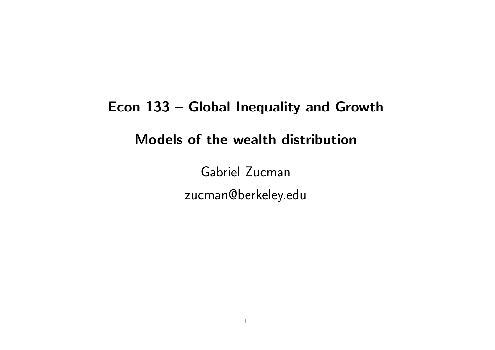# Econ 133 – Global Inequality and Growth Models of the wealth distribution

Gabriel Zucman zucman@berkeley.edu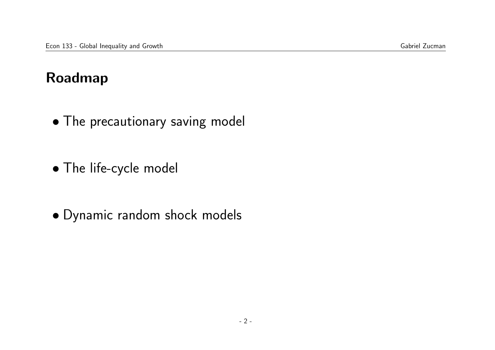## Roadmap

- The precautionary saving model
- The life-cycle model
- Dynamic random shock models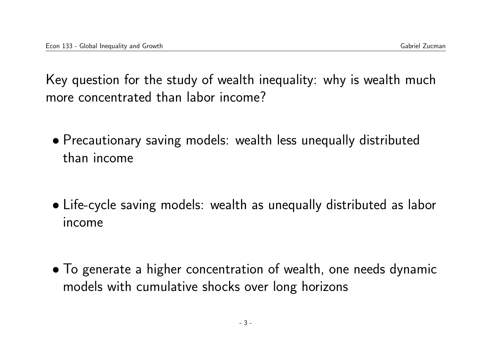Key question for the study of wealth inequality: why is wealth much more concentrated than labor income?

- Precautionary saving models: wealth less unequally distributed than income
- Life-cycle saving models: wealth as unequally distributed as labor income
- To generate a higher concentration of wealth, one needs dynamic models with cumulative shocks over long horizons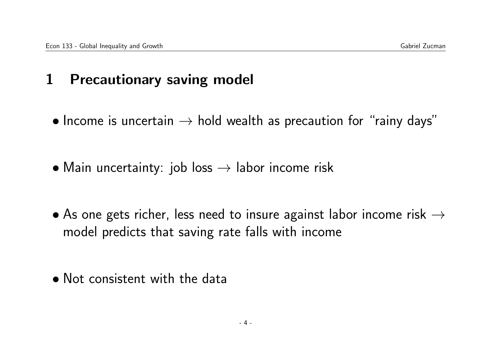## 1 Precautionary saving model

- Income is uncertain  $\rightarrow$  hold wealth as precaution for "rainy days"
- Main uncertainty: job loss  $\rightarrow$  labor income risk
- As one gets richer, less need to insure against labor income risk  $\rightarrow$ model predicts that saving rate falls with income
- Not consistent with the data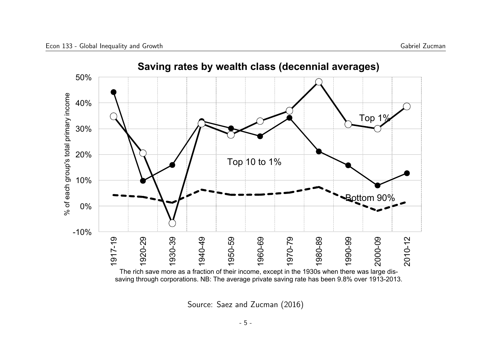

Source: Saez and Zucman (2016)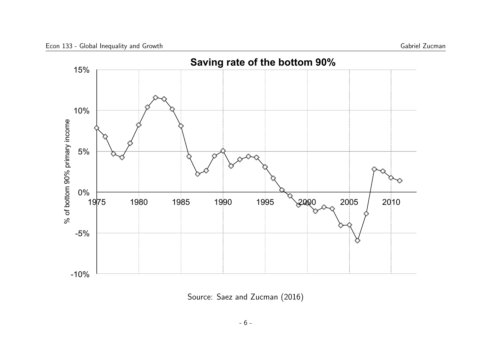

Source: Saez and Zucman (2016)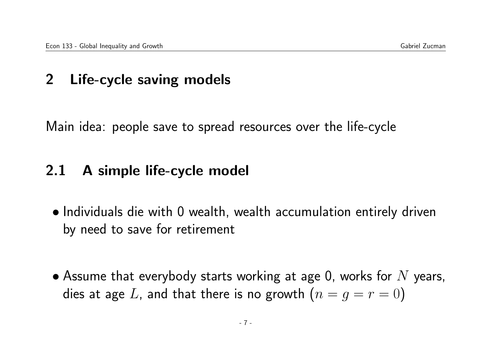## 2 Life-cycle saving models

Main idea: people save to spread resources over the life-cycle

## 2.1 A simple life-cycle model

- Individuals die with 0 wealth, wealth accumulation entirely driven by need to save for retirement
- Assume that everybody starts working at age 0, works for  $N$  years, dies at age L, and that there is no growth  $(n = g = r = 0)$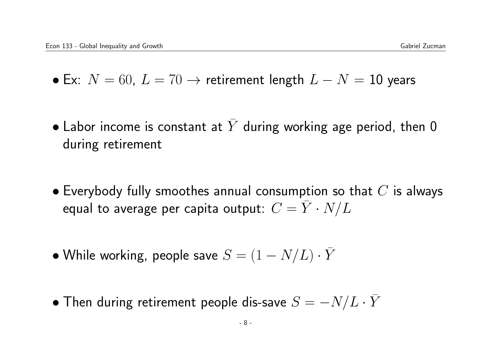- Ex:  $N = 60$ ,  $L = 70 \rightarrow$  retirement length  $L N = 10$  years
- Labor income is constant at Y during working age period, then 0 during retirement
- $\bullet$  Everybody fully smoothes annual consumption so that  $C$  is always equal to average per capita output:  $C = \overline{Y} \cdot N/L$
- While working, people save  $S = (1 N/L) \cdot \overline{Y}$
- Then during retirement people dis-save  $S = -N/L \cdot \bar{Y}$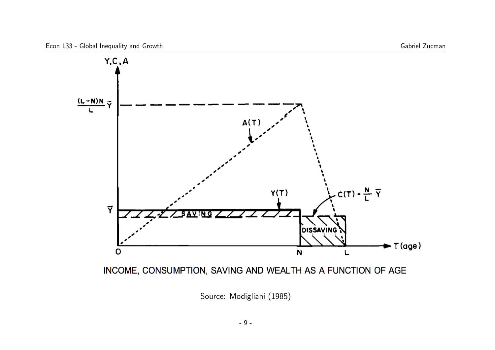



Source: Modigliani (1985)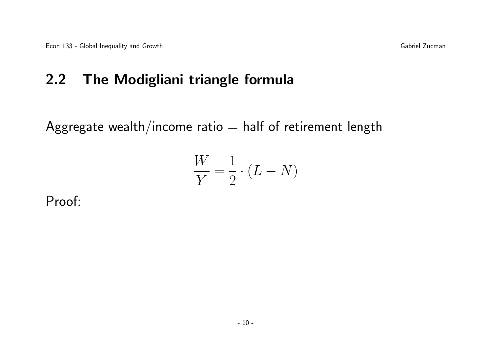## 2.2 The Modigliani triangle formula

Aggregate wealth/income ratio  $=$  half of retirement length

$$
\frac{W}{Y} = \frac{1}{2} \cdot (L - N)
$$

Proof: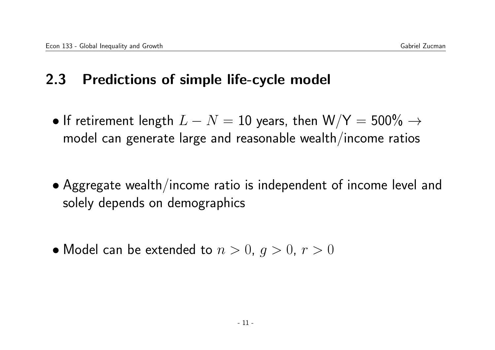## 2.3 Predictions of simple life-cycle model

- If retirement length  $L-N=10$  years, then  $\text{W/Y}=500\% \rightarrow$ model can generate large and reasonable wealth/income ratios
- Aggregate wealth/income ratio is independent of income level and solely depends on demographics
- Model can be extended to  $n > 0$ ,  $q > 0$ ,  $r > 0$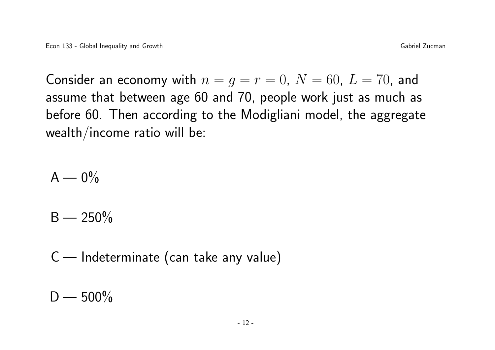Consider an economy with  $n = q = r = 0$ ,  $N = 60$ ,  $L = 70$ , and assume that between age 60 and 70, people work just as much as before 60. Then according to the Modigliani model, the aggregate wealth/income ratio will be:

 $A - 0\%$ 

 $B - 250\%$ 

C — Indeterminate (can take any value)

 $D - 500\%$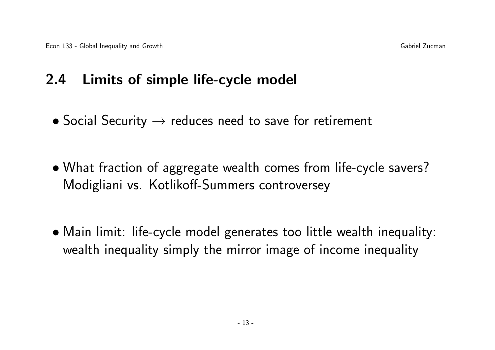#### 2.4 Limits of simple life-cycle model

- Social Security  $\rightarrow$  reduces need to save for retirement
- What fraction of aggregate wealth comes from life-cycle savers? Modigliani vs. Kotlikoff-Summers controversey
- Main limit: life-cycle model generates too little wealth inequality: wealth inequality simply the mirror image of income inequality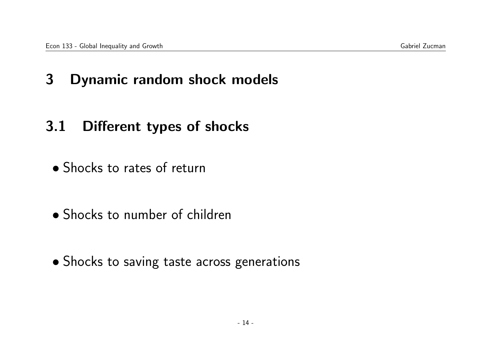## 3 Dynamic random shock models

## 3.1 Different types of shocks

- Shocks to rates of return
- Shocks to number of children
- Shocks to saving taste across generations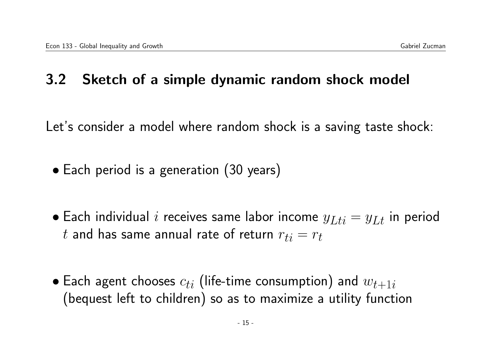## 3.2 Sketch of a simple dynamic random shock model

Let's consider a model where random shock is a saving taste shock:

- Each period is a generation (30 years)
- Each individual i receives same labor income  $y_{Lti} = y_{Lt}$  in period t and has same annual rate of return  $r_{ti} = r_t$
- Each agent chooses  $c_{ti}$  (life-time consumption) and  $w_{t+1i}$ (bequest left to children) so as to maximize a utility function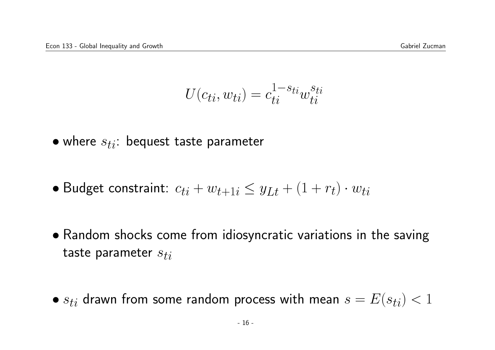$$
U(c_{ti}, w_{ti}) = c_{ti}^{1-s_{ti}} w_{ti}^{s_{ti}}
$$

- where  $s_{ti}$ : bequest taste parameter
- Budget constraint:  $c_{ti} + w_{t+1i} \leq y_{Lt} + (1 + r_t) \cdot w_{ti}$
- Random shocks come from idiosyncratic variations in the saving taste parameter  $s_{ti}$
- $s_{ti}$  drawn from some random process with mean  $s = E(s_{ti}) < 1$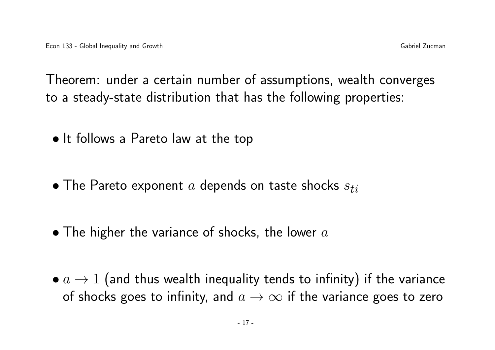Theorem: under a certain number of assumptions, wealth converges to a steady-state distribution that has the following properties:

- It follows a Pareto law at the top
- The Pareto exponent  $a$  depends on taste shocks  $s_{ti}$
- $\bullet$  The higher the variance of shocks, the lower  $a$
- $\bullet$   $a \rightarrow 1$  (and thus wealth inequality tends to infinity) if the variance of shocks goes to infinity, and  $a \rightarrow \infty$  if the variance goes to zero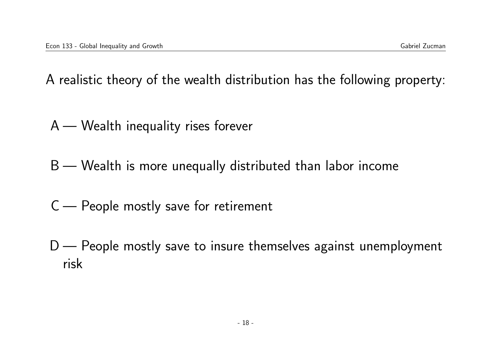A realistic theory of the wealth distribution has the following property:

- A Wealth inequality rises forever
- B Wealth is more unequally distributed than labor income
- C People mostly save for retirement
- D People mostly save to insure themselves against unemployment risk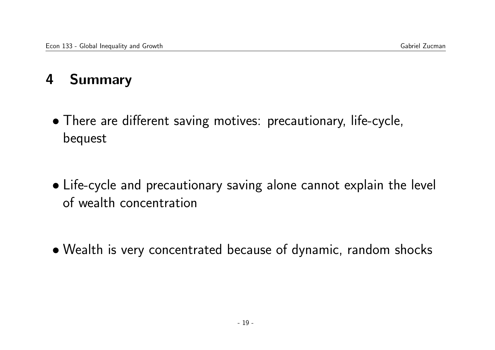## 4 Summary

- There are different saving motives: precautionary, life-cycle, bequest
- Life-cycle and precautionary saving alone cannot explain the level of wealth concentration
- Wealth is very concentrated because of dynamic, random shocks